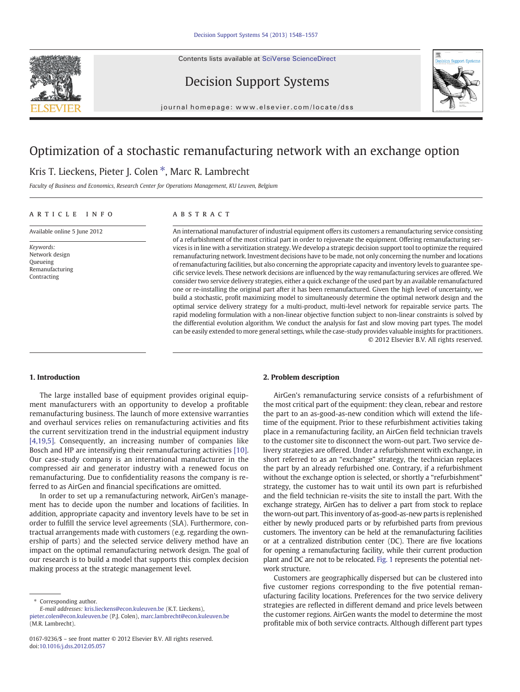Contents lists available at [SciVerse ScienceDirect](http://www.sciencedirect.com/science/journal/01679236)





Decision Support Systems

journal homepage: www.elsevier.com/locate/dss

# Optimization of a stochastic remanufacturing network with an exchange option

## Kris T. Lieckens, Pieter J. Colen<sup>\*</sup>, Marc R. Lambrecht

Faculty of Business and Economics, Research Center for Operations Management, KU Leuven, Belgium

#### article info abstract

Available online 5 June 2012

Keywords: Network design Queueing Remanufacturing Contracting

An international manufacturer of industrial equipment offers its customers a remanufacturing service consisting of a refurbishment of the most critical part in order to rejuvenate the equipment. Offering remanufacturing services is in line with a servitization strategy. We develop a strategic decision support tool to optimize the required remanufacturing network. Investment decisions have to be made, not only concerning the number and locations of remanufacturing facilities, but also concerning the appropriate capacity and inventory levels to guarantee specific service levels. These network decisions are influenced by the way remanufacturing services are offered. We consider two service delivery strategies, either a quick exchange of the used part by an available remanufactured one or re-installing the original part after it has been remanufactured. Given the high level of uncertainty, we build a stochastic, profit maximizing model to simultaneously determine the optimal network design and the optimal service delivery strategy for a multi-product, multi-level network for repairable service parts. The rapid modeling formulation with a non-linear objective function subject to non-linear constraints is solved by the differential evolution algorithm. We conduct the analysis for fast and slow moving part types. The model can be easily extended to more general settings, while the case-study provides valuable insights for practitioners. © 2012 Elsevier B.V. All rights reserved.

#### 1. Introduction

The large installed base of equipment provides original equipment manufacturers with an opportunity to develop a profitable remanufacturing business. The launch of more extensive warranties and overhaul services relies on remanufacturing activities and fits the current servitization trend in the industrial equipment industry [\[4,19,5\].](#page--1-0) Consequently, an increasing number of companies like Bosch and HP are intensifying their remanufacturing activities [\[10\].](#page--1-0) Our case-study company is an international manufacturer in the compressed air and generator industry with a renewed focus on remanufacturing. Due to confidentiality reasons the company is referred to as AirGen and financial specifications are omitted.

In order to set up a remanufacturing network, AirGen's management has to decide upon the number and locations of facilities. In addition, appropriate capacity and inventory levels have to be set in order to fulfill the service level agreements (SLA). Furthermore, contractual arrangements made with customers (e.g. regarding the ownership of parts) and the selected service delivery method have an impact on the optimal remanufacturing network design. The goal of our research is to build a model that supports this complex decision making process at the strategic management level.

⁎ Corresponding author.

#### 2. Problem description

AirGen's remanufacturing service consists of a refurbishment of the most critical part of the equipment: they clean, rebear and restore the part to an as-good-as-new condition which will extend the lifetime of the equipment. Prior to these refurbishment activities taking place in a remanufacturing facility, an AirGen field technician travels to the customer site to disconnect the worn-out part. Two service delivery strategies are offered. Under a refurbishment with exchange, in short referred to as an "exchange" strategy, the technician replaces the part by an already refurbished one. Contrary, if a refurbishment without the exchange option is selected, or shortly a "refurbishment" strategy, the customer has to wait until its own part is refurbished and the field technician re-visits the site to install the part. With the exchange strategy, AirGen has to deliver a part from stock to replace the worn-out part. This inventory of as-good-as-new parts is replenished either by newly produced parts or by refurbished parts from previous customers. The inventory can be held at the remanufacturing facilities or at a centralized distribution center (DC). There are five locations for opening a remanufacturing facility, while their current production plant and DC are not to be relocated. [Fig. 1](#page-1-0) represents the potential network structure.

Customers are geographically dispersed but can be clustered into five customer regions corresponding to the five potential remanufacturing facility locations. Preferences for the two service delivery strategies are reflected in different demand and price levels between the customer regions. AirGen wants the model to determine the most profitable mix of both service contracts. Although different part types

E-mail addresses: [kris.lieckens@econ.kuleuven.be](mailto:kris.lieckens@econ.kuleuven.be) (K.T. Lieckens), [pieter.colen@econ.kuleuven.be](mailto:pieter.colen@econ.kuleuven.be) (P.J. Colen), [marc.lambrecht@econ.kuleuven.be](mailto:marc.lambrecht@econ.kuleuven.be) (M.R. Lambrecht).

<sup>0167-9236/\$</sup> – see front matter © 2012 Elsevier B.V. All rights reserved. doi[:10.1016/j.dss.2012.05.057](http://dx.doi.org/10.1016/j.dss.2012.05.057)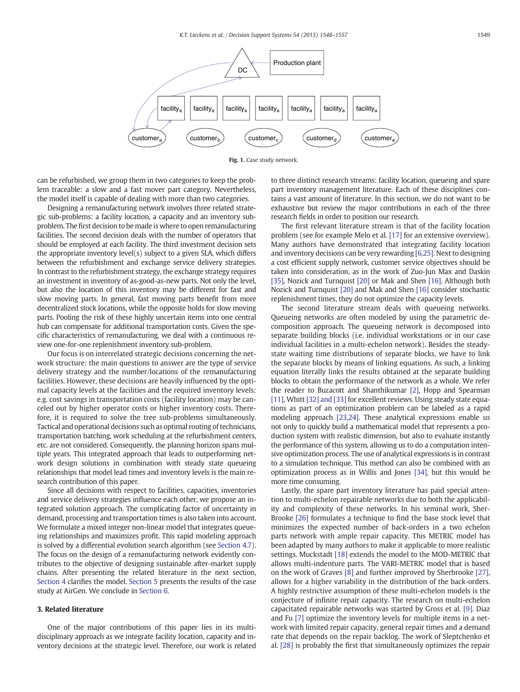<span id="page-1-0"></span>

Fig. 1. Case study network.

can be refurbished, we group them in two categories to keep the problem traceable: a slow and a fast mover part category. Nevertheless, the model itself is capable of dealing with more than two categories.

Designing a remanufacturing network involves three related strategic sub-problems: a facility location, a capacity and an inventory subproblem. The first decision to be made is where to open remanufacturing facilities. The second decision deals with the number of operators that should be employed at each facility. The third investment decision sets the appropriate inventory level(s) subject to a given SLA, which differs between the refurbishment and exchange service delivery strategies. In contrast to the refurbishment strategy, the exchange strategy requires an investment in inventory of as-good-as-new parts. Not only the level, but also the location of this inventory may be different for fast and slow moving parts. In general, fast moving parts benefit from more decentralized stock locations, while the opposite holds for slow moving parts. Pooling the risk of these highly uncertain items into one central hub can compensate for additional transportation costs. Given the specific characteristics of remanufacturing, we deal with a continuous review one-for-one replenishment inventory sub-problem.

Our focus is on interrelated strategic decisions concerning the network structure: the main questions to answer are the type of service delivery strategy and the number/locations of the remanufacturing facilities. However, these decisions are heavily influenced by the optimal capacity levels at the facilities and the required inventory levels: e.g. cost savings in transportation costs (facility location) may be canceled out by higher operator costs or higher inventory costs. Therefore, it is required to solve the tree sub-problems simultaneously. Tactical and operational decisions such as optimal routing of technicians, transportation batching, work scheduling at the refurbishment centers, etc. are not considered. Consequently, the planning horizon spans multiple years. This integrated approach that leads to outperforming network design solutions in combination with steady state queueing relationships that model lead times and inventory levels is the main research contribution of this paper.

Since all decisions with respect to facilities, capacities, inventories and service delivery strategies influence each other, we propose an integrated solution approach. The complicating factor of uncertainty in demand, processing and transportation times is also taken into account. We formulate a mixed integer non-linear model that integrates queueing relationships and maximizes profit. This rapid modeling approach is solved by a differential evolution search algorithm (see [Section 4.7](#page--1-0)). The focus on the design of a remanufacturing network evidently contributes to the objective of designing sustainable after-market supply chains. After presenting the related literature in the next section, [Section 4](#page--1-0) clarifies the model. [Section 5](#page--1-0) presents the results of the case study at AirGen. We conclude in [Section 6.](#page--1-0)

### 3. Related literature

One of the major contributions of this paper lies in its multidisciplinary approach as we integrate facility location, capacity and inventory decisions at the strategic level. Therefore, our work is related to three distinct research streams: facility location, queueing and spare part inventory management literature. Each of these disciplines contains a vast amount of literature. In this section, we do not want to be exhaustive but review the major contributions in each of the three research fields in order to position our research.

The first relevant literature stream is that of the facility location problem (see for example Melo et al. [\[17\]](#page--1-0) for an extensive overview). Many authors have demonstrated that integrating facility location and inventory decisions can be very rewarding [\[6,25\]](#page--1-0). Next to designing a cost efficient supply network, customer service objectives should be taken into consideration, as in the work of Zuo-Jun Max and Daskin [\[35\],](#page--1-0) Nozick and Turnquist [\[20\]](#page--1-0) or Mak and Shen [\[16\]](#page--1-0). Although both Nozick and Turnquist [\[20\]](#page--1-0) and Mak and Shen [\[16\]](#page--1-0) consider stochastic replenishment times, they do not optimize the capacity levels.

The second literature stream deals with queueing networks. Queueing networks are often modeled by using the parametric decomposition approach. The queueing network is decomposed into separate building blocks (i.e. individual workstations or in our case individual facilities in a multi-echelon network). Besides the steadystate waiting time distributions of separate blocks, we have to link the separate blocks by means of linking equations. As such, a linking equation literally links the results obtained at the separate building blocks to obtain the performance of the network as a whole. We refer the reader to Buzacott and Shanthikumar [\[2\],](#page--1-0) Hopp and Spearman [\[11\],](#page--1-0) Whitt [\[32\] and \[33\]](#page--1-0) for excellent reviews. Using steady state equations as part of an optimization problem can be labeled as a rapid modeling approach [\[23,24\].](#page--1-0) These analytical expressions enable us not only to quickly build a mathematical model that represents a production system with realistic dimension, but also to evaluate instantly the performance of this system, allowing us to do a computation intensive optimization process. The use of analytical expressions is in contrast to a simulation technique. This method can also be combined with an optimization process as in Willis and Jones [\[34\],](#page--1-0) but this would be more time consuming.

Lastly, the spare part inventory literature has paid special attention to multi-echelon repairable networks due to both the applicability and complexity of these networks. In his seminal work, Sher-Brooke [\[26\]](#page--1-0) formulates a technique to find the base stock level that minimizes the expected number of back-orders in a two echelon parts network with ample repair capacity. This METRIC model has been adapted by many authors to make it applicable to more realistic settings. Muckstadt [\[18\]](#page--1-0) extends the model to the MOD-METRIC that allows multi-indenture parts. The VARI-METRIC model that is based on the work of Graves [\[8\]](#page--1-0) and further improved by Sherbrooke [\[27\],](#page--1-0) allows for a higher variability in the distribution of the back-orders. A highly restrictive assumption of these multi-echelon models is the conjecture of infinite repair capacity. The research on multi-echelon capacitated repairable networks was started by Gross et al. [\[9\]](#page--1-0). Diaz and Fu [\[7\]](#page--1-0) optimize the inventory levels for multiple items in a network with limited repair capacity, general repair times and a demand rate that depends on the repair backlog. The work of Sleptchenko et al. [\[28\]](#page--1-0) is probably the first that simultaneously optimizes the repair